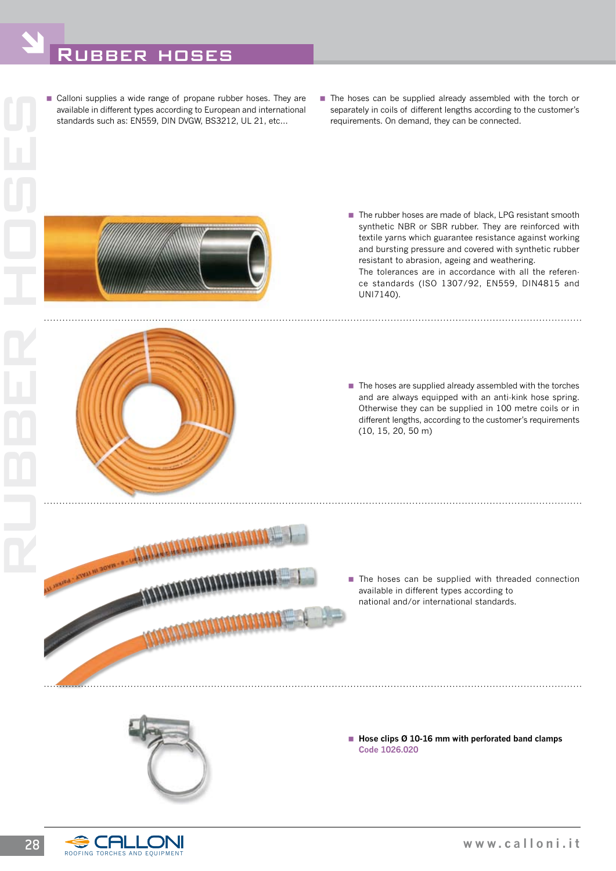## Rubber hoses

Ó



- The hoses can be supplied already assembled with the torch or separately in coils of different lengths according to the customer's requirements. On demand, they can be connected.
	- The rubber hoses are made of black, LPG resistant smooth synthetic NBR or SBR rubber. They are reinforced with textile yarns which guarantee resistance against working and bursting pressure and covered with synthetic rubber resistant to abrasion, ageing and weathering. The tolerances are in accordance with all the reference standards (ISO 1307/92, EN559, DIN4815 and UNI7140).

- $\blacksquare$  The hoses are supplied already assembled with the torches and are always equipped with an anti-kink hose spring. Otherwise they can be supplied in 100 metre coils or in different lengths, according to the customer's requirements (10, 15, 20, 50 m)
- **MAAAAAAAAAA**
- The hoses can be supplied with threaded connection available in different types according to national and/or international standards.

■ Hose clips Ø 10-16 mm with perforated band clamps **Code 1026.020**